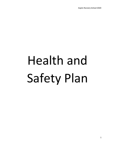# Health and Safety Plan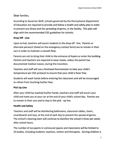# Dear families,

According to Governor Wolf, schools governed by the Pennsylvania Department of Education are required to provide and follow a health and safety plan in order to prevent any illness and the spreading of germs, in the facility. This plan will align with the recommended CDC guidelines for schools.

## **Drop Off - Line**

Upon arrival, teachers will escort students in the drop off - line. Parents or alternate person/s (listed on the emergency contact form) are to remain in their cars in order to maintain a smooth flow.

Parents are not to bring their child to the entrance of Aspire or enter the building. Parents and teachers are required to wear masks, unless the parent has documented medical reason, during this transition.

Teachers and staff will use a forehead thermometer to take your child's temperature per CDC protocol to ensure that your child is fever free.

Students will wash hands before entering the classroom and will be encouraged to refrain from touching his/her face.

# **Pick Up Line**

After your child has washed his/her hands, teachers and staff will escort your child and meet you at your car at the end of your child's school day. Parents are to remain in their cars and to stay in the pick - up line.

## **Health and Safety**

Teachers and staff will be disinfecting bathrooms, classroom tables, chairs, smartboards and toys, at the end of each day to prevent the spread of germs. The school's cleaning team will continue to disinfect the school 3 times per week, after school hours.

The number of occupants in communal spaces and classrooms will be limited to 25 bodies, including students, teachers, visitors and therapists. Serving children is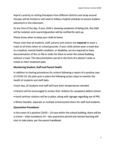Aspire's priority so visiting therapists from different districts and wrap around therapy will be limited or will need to follow a hybrid schedule to ensure student placement in the classroom.

At any time of the day, if your child is showing symptoms of being sick, the child will be isolated, and a parent/guardian will be notified for pick up.

Please know when to keep your child at home.

Please note that all students, staff, parents and visitors are **required** to wear a mask at all times when on school grounds. If your child cannot wear a mask due to a medical, mental health condition, or disability, we are required to have documentation of this on file in order for them to enter the school building without a mask. This documentation can be in the form of a doctor's note or noted on their treatment plan.

### **Monitoring Student, Staff and Parent Health**

In addition to sharing procedures for actions following a report of a positive case of COVID-19, the plan puts in place the following action steps to monitor the health of students and staff daily.

- Each day, all students and staff will have their temperatures checked.
- Parents will be encouraged to screen their children for symptoms before school.
- Hand sanitizer stations will be in place, along with signage regarding use of PPE.
- Where feasible, separate or multiple entrance/exit doors for staff and students.

#### **Quarantine Procedures**

In the event of a positive COVID – 19 case within the school building, there will be a school – wide mandatory 14 – day quarantine period and remote learning will start to take place, per the parent handbook.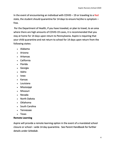In the event of encountering an individual with COVID  $-$  19 or traveling to a Red state, the student should quarantine for 14 days to ensure he/she is symptom – free.

Per the Department of Health, if you have traveled, or plan to travel, to an area where there are high amounts of COVID-19 cases, it is recommended that you stay at home for 14 days upon return to Pennsylvania. Aspire is requiring that your child quarantine and not return to school for 14 days upon return from the following states:

- Alabama
- Arizona
- Arkansas
- California
- Florida
- Georgia
- Idaho
- Iowa
- Kansas
- Louisiana
- Mississippi
- Missouri
- Nevada
- North Dakota
- Oklahoma
- South Carolina
- Tennessee
- Texas

# **Remote Learning**

Aspire will provide a remote learning option in the event of a mandated school closure or school – wide 14 day quarantine. See Parent Handbook for further details under *Schedule.*